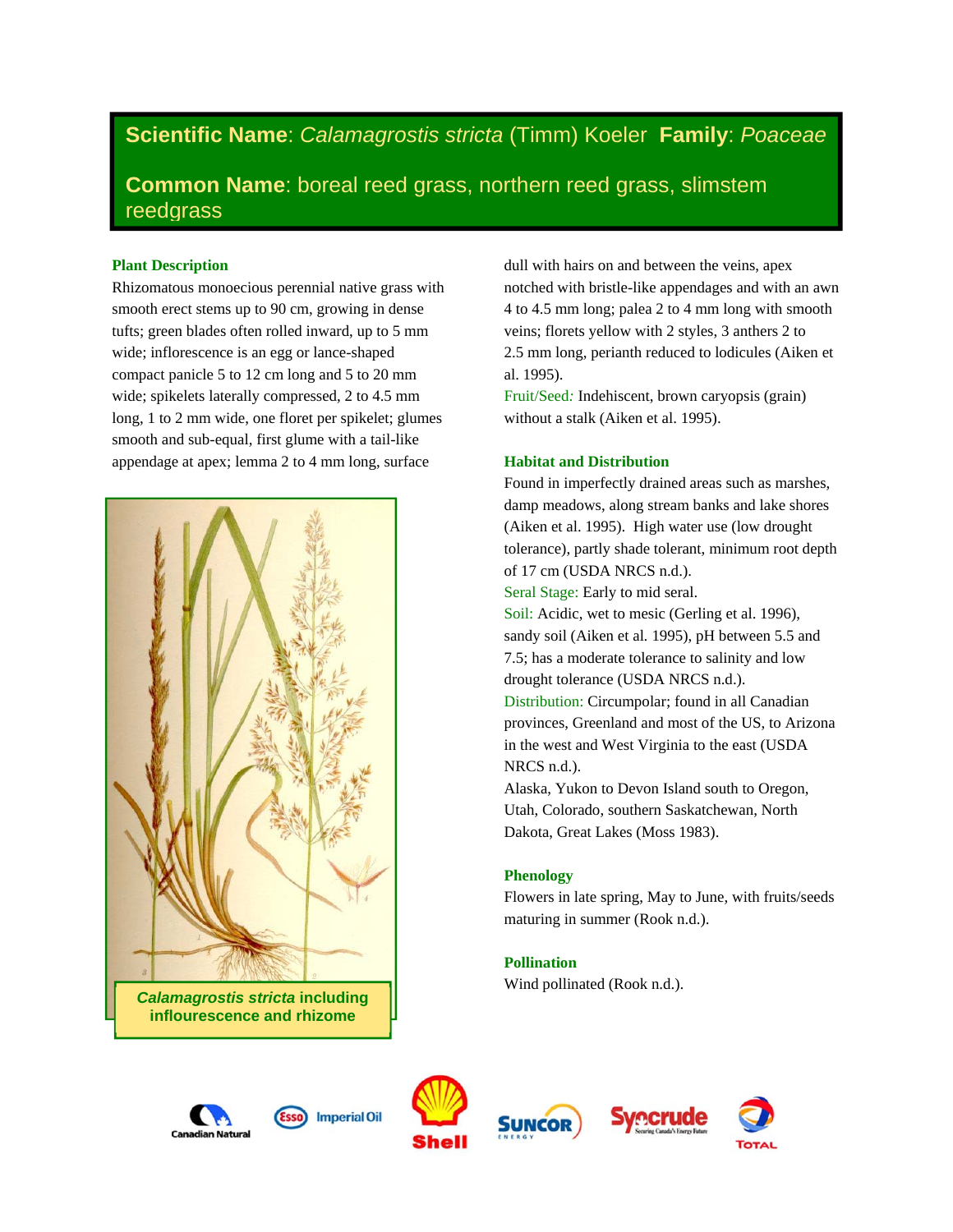# **Scientific Name**: *Calamagrostis stricta* (Timm) Koeler **Family**: *Poaceae*

**Common Name**: boreal reed grass, northern reed grass, slimstem reedgrass

# **Plant Description**

Rhizomatous monoecious perennial native grass with smooth erect stems up to 90 cm, growing in dense tufts; green blades often rolled inward, up to 5 mm wide; inflorescence is an egg or lance-shaped compact panicle 5 to 12 cm long and 5 to 20 mm wide; spikelets laterally compressed, 2 to 4.5 mm long, 1 to 2 mm wide, one floret per spikelet; glumes smooth and sub-equal, first glume with a tail-like appendage at apex; lemma 2 to 4 mm long, surface



dull with hairs on and between the veins, apex notched with bristle-like appendages and with an awn 4 to 4.5 mm long; palea 2 to 4 mm long with smooth veins; florets yellow with 2 styles, 3 anthers 2 to 2.5 mm long, perianth reduced to lodicules (Aiken et al. 1995).

Fruit/Seed*:* Indehiscent, brown caryopsis (grain) without a stalk (Aiken et al. 1995).

# **Habitat and Distribution**

Found in imperfectly drained areas such as marshes, damp meadows, along stream banks and lake shores (Aiken et al. 1995). High water use (low drought tolerance), partly shade tolerant, minimum root depth of 17 cm (USDA NRCS n.d.).

Seral Stage: Early to mid seral.

Soil: Acidic, wet to mesic (Gerling et al. 1996), sandy soil (Aiken et al*.* 1995), pH between 5.5 and 7.5; has a moderate tolerance to salinity and low drought tolerance (USDA NRCS n.d.).

Distribution: Circumpolar; found in all Canadian provinces, Greenland and most of the US, to Arizona in the west and West Virginia to the east (USDA NRCS n.d.).

Alaska, Yukon to Devon Island south to Oregon, Utah, Colorado, southern Saskatchewan, North Dakota, Great Lakes (Moss 1983).

## **Phenology**

Flowers in late spring, May to June, with fruits/seeds maturing in summer (Rook n.d.).

# **Pollination**

Wind pollinated (Rook n.d.).





**Imperial Oil** 





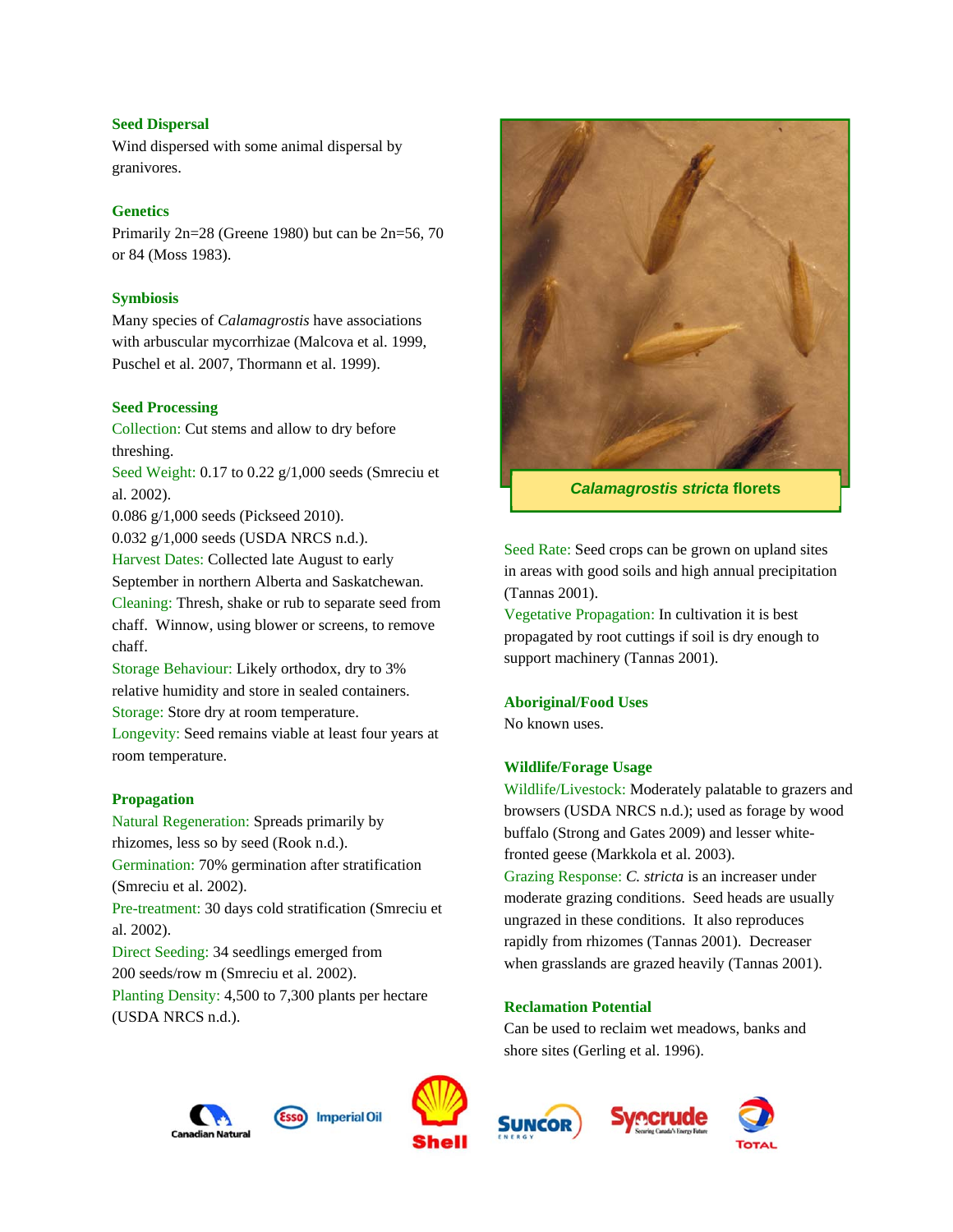## **Seed Dispersal**

Wind dispersed with some animal dispersal by granivores.

## **Genetics**

Primarily 2n=28 (Greene 1980) but can be 2n=56, 70 or 84 (Moss 1983).

## **Symbiosis**

Many species of *Calamagrostis* have associations with arbuscular mycorrhizae (Malcova et al. 1999, Puschel et al. 2007, Thormann et al. 1999).

#### **Seed Processing**

Collection: Cut stems and allow to dry before threshing.

Seed Weight: 0.17 to 0.22 g/1,000 seeds (Smreciu et al. 2002).

0.086 g/1,000 seeds (Pickseed 2010).

0.032 g/1,000 seeds (USDA NRCS n.d.). Harvest Dates: Collected late August to early

September in northern Alberta and Saskatchewan.

Cleaning: Thresh, shake or rub to separate seed from chaff. Winnow, using blower or screens, to remove chaff.

Storage Behaviour: Likely orthodox, dry to 3% relative humidity and store in sealed containers. Storage: Store dry at room temperature.

Longevity: Seed remains viable at least four years at room temperature.

#### **Propagation**

Natural Regeneration: Spreads primarily by rhizomes, less so by seed (Rook n.d.). Germination: 70% germination after stratification (Smreciu et al. 2002). Pre-treatment: 30 days cold stratification (Smreciu et al. 2002). Direct Seeding: 34 seedlings emerged from 200 seeds/row m (Smreciu et al. 2002). Planting Density: 4,500 to 7,300 plants per hectare (USDA NRCS n.d.).



*Calamagrostis stricta* **florets** 

Seed Rate: Seed crops can be grown on upland sites in areas with good soils and high annual precipitation (Tannas 2001).

Vegetative Propagation: In cultivation it is best propagated by root cuttings if soil is dry enough to support machinery (Tannas 2001).

#### **Aboriginal/Food Uses**

No known uses.

# **Wildlife/Forage Usage**

Wildlife/Livestock: Moderately palatable to grazers and browsers (USDA NRCS n.d.); used as forage by wood buffalo (Strong and Gates 2009) and lesser whitefronted geese (Markkola et al. 2003).

Grazing Response: *C. stricta* is an increaser under moderate grazing conditions. Seed heads are usually ungrazed in these conditions. It also reproduces rapidly from rhizomes (Tannas 2001). Decreaser when grasslands are grazed heavily (Tannas 2001).

#### **Reclamation Potential**

Can be used to reclaim wet meadows, banks and shore sites (Gerling et al. 1996).





**Imperial Oil** 





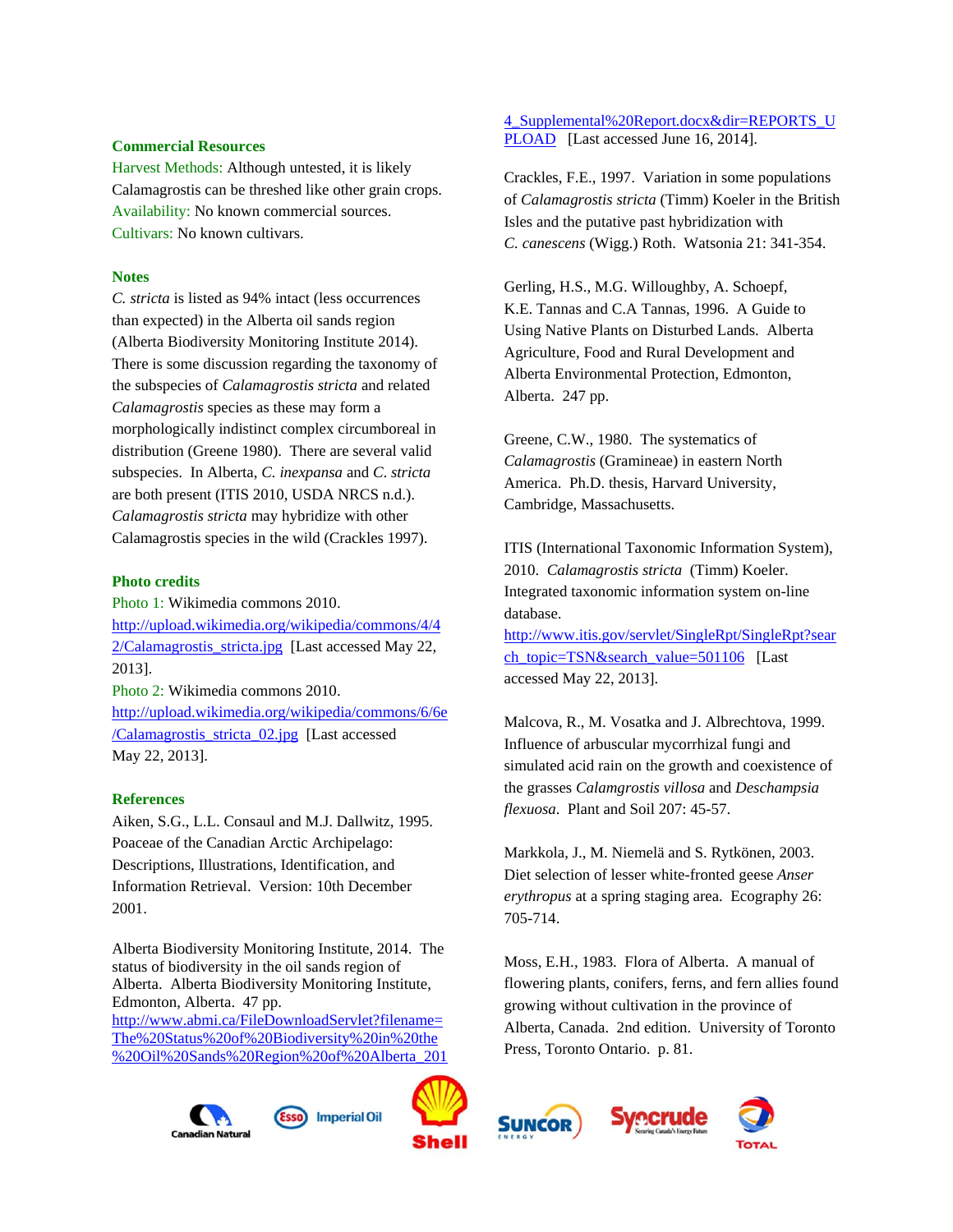#### **Commercial Resources**

Harvest Methods: Although untested, it is likely Calamagrostis can be threshed like other grain crops. Availability: No known commercial sources. Cultivars: No known cultivars.

#### **Notes**

*C. stricta* is listed as 94% intact (less occurrences than expected) in the Alberta oil sands region (Alberta Biodiversity Monitoring Institute 2014). There is some discussion regarding the taxonomy of the subspecies of *Calamagrostis stricta* and related *Calamagrostis* species as these may form a morphologically indistinct complex circumboreal in distribution (Greene 1980). There are several valid subspecies. In Alberta, *C. inexpansa* and *C*. *stricta* are both present (ITIS 2010, USDA NRCS n.d.). *Calamagrostis stricta* may hybridize with other Calamagrostis species in the wild (Crackles 1997).

## **Photo credits**

Photo 1: Wikimedia commons 2010. http://upload.wikimedia.org/wikipedia/commons/4/4  $2/Calamagrostis<sub>stricta.jpg</sub>$  [Last accessed May 22, 2013]. Photo 2: Wikimedia commons 2010.

http://upload.wikimedia.org/wikipedia/commons/6/6e /Calamagrostis\_stricta\_02.jpg [Last accessed May 22, 2013].

#### **References**

Aiken, S.G., L.L. Consaul and M.J. Dallwitz, 1995. Poaceae of the Canadian Arctic Archipelago: Descriptions, Illustrations, Identification, and Information Retrieval. Version: 10th December 2001.

Alberta Biodiversity Monitoring Institute, 2014. The status of biodiversity in the oil sands region of Alberta. Alberta Biodiversity Monitoring Institute, Edmonton, Alberta. 47 pp. http://www.abmi.ca/FileDownloadServlet?filename= The%20Status%20of%20Biodiversity%20in%20the

%20Oil%20Sands%20Region%20of%20Alberta\_201





Crackles, F.E., 1997. Variation in some populations of *Calamagrostis stricta* (Timm) Koeler in the British Isles and the putative past hybridization with *C. canescens* (Wigg.) Roth. Watsonia 21: 341-354.

Gerling, H.S., M.G. Willoughby, A. Schoepf, K.E. Tannas and C.A Tannas, 1996. A Guide to Using Native Plants on Disturbed Lands. Alberta Agriculture, Food and Rural Development and Alberta Environmental Protection, Edmonton, Alberta. 247 pp.

Greene, C.W., 1980. The systematics of *Calamagrostis* (Gramineae) in eastern North America. Ph.D. thesis, Harvard University, Cambridge, Massachusetts.

ITIS (International Taxonomic Information System), 2010. *Calamagrostis stricta* (Timm) Koeler. Integrated taxonomic information system on-line database.

http://www.itis.gov/servlet/SingleRpt/SingleRpt?sear ch\_topic=TSN&search\_value=501106 [Last accessed May 22, 2013].

Malcova, R., M. Vosatka and J. Albrechtova, 1999. Influence of arbuscular mycorrhizal fungi and simulated acid rain on the growth and coexistence of the grasses *Calamgrostis villosa* and *Deschampsia flexuosa*. Plant and Soil 207: 45-57.

Markkola, J., M. Niemelä and S. Rytkönen, 2003. Diet selection of lesser white-fronted geese *Anser erythropus* at a spring staging area. Ecography 26: 705-714.

Moss, E.H., 1983. Flora of Alberta. A manual of flowering plants, conifers, ferns, and fern allies found growing without cultivation in the province of Alberta, Canada. 2nd edition. University of Toronto Press, Toronto Ontario. p. 81.